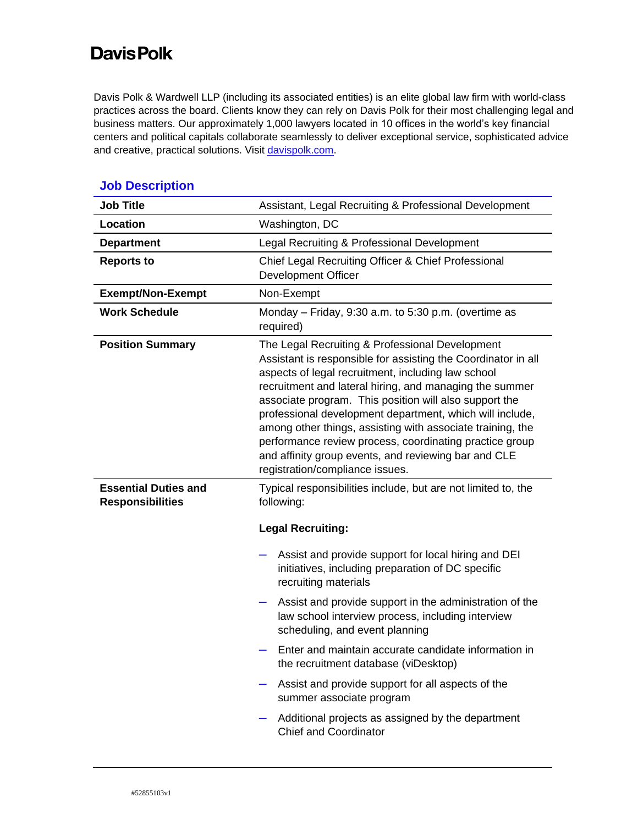## **Davis Polk**

Davis Polk & Wardwell LLP (including its associated entities) is an elite global law firm with world-class practices across the board. Clients know they can rely on Davis Polk for their most challenging legal and business matters. Our approximately 1,000 lawyers located in 10 offices in the world's key financial centers and political capitals collaborate seamlessly to deliver exceptional service, sophisticated advice and creative, practical solutions. Visi[t davispolk.com.](https://www.davispolk.com/)

| <b>Job Title</b>                                       | Assistant, Legal Recruiting & Professional Development                                                                                                                                                                                                                                                                                                                                                                                                                                                                                                                      |
|--------------------------------------------------------|-----------------------------------------------------------------------------------------------------------------------------------------------------------------------------------------------------------------------------------------------------------------------------------------------------------------------------------------------------------------------------------------------------------------------------------------------------------------------------------------------------------------------------------------------------------------------------|
| Location                                               | Washington, DC                                                                                                                                                                                                                                                                                                                                                                                                                                                                                                                                                              |
| <b>Department</b>                                      | Legal Recruiting & Professional Development                                                                                                                                                                                                                                                                                                                                                                                                                                                                                                                                 |
| <b>Reports to</b>                                      | Chief Legal Recruiting Officer & Chief Professional<br><b>Development Officer</b>                                                                                                                                                                                                                                                                                                                                                                                                                                                                                           |
| <b>Exempt/Non-Exempt</b>                               | Non-Exempt                                                                                                                                                                                                                                                                                                                                                                                                                                                                                                                                                                  |
| <b>Work Schedule</b>                                   | Monday - Friday, 9:30 a.m. to 5:30 p.m. (overtime as<br>required)                                                                                                                                                                                                                                                                                                                                                                                                                                                                                                           |
| <b>Position Summary</b>                                | The Legal Recruiting & Professional Development<br>Assistant is responsible for assisting the Coordinator in all<br>aspects of legal recruitment, including law school<br>recruitment and lateral hiring, and managing the summer<br>associate program. This position will also support the<br>professional development department, which will include,<br>among other things, assisting with associate training, the<br>performance review process, coordinating practice group<br>and affinity group events, and reviewing bar and CLE<br>registration/compliance issues. |
| <b>Essential Duties and</b><br><b>Responsibilities</b> | Typical responsibilities include, but are not limited to, the<br>following:                                                                                                                                                                                                                                                                                                                                                                                                                                                                                                 |
|                                                        | <b>Legal Recruiting:</b>                                                                                                                                                                                                                                                                                                                                                                                                                                                                                                                                                    |
|                                                        | Assist and provide support for local hiring and DEI<br>initiatives, including preparation of DC specific<br>recruiting materials                                                                                                                                                                                                                                                                                                                                                                                                                                            |
|                                                        | Assist and provide support in the administration of the<br>law school interview process, including interview<br>scheduling, and event planning                                                                                                                                                                                                                                                                                                                                                                                                                              |
|                                                        | Enter and maintain accurate candidate information in<br>the recruitment database (viDesktop)                                                                                                                                                                                                                                                                                                                                                                                                                                                                                |
|                                                        | Assist and provide support for all aspects of the<br>summer associate program                                                                                                                                                                                                                                                                                                                                                                                                                                                                                               |
|                                                        | Additional projects as assigned by the department<br><b>Chief and Coordinator</b>                                                                                                                                                                                                                                                                                                                                                                                                                                                                                           |

## **Job Description**